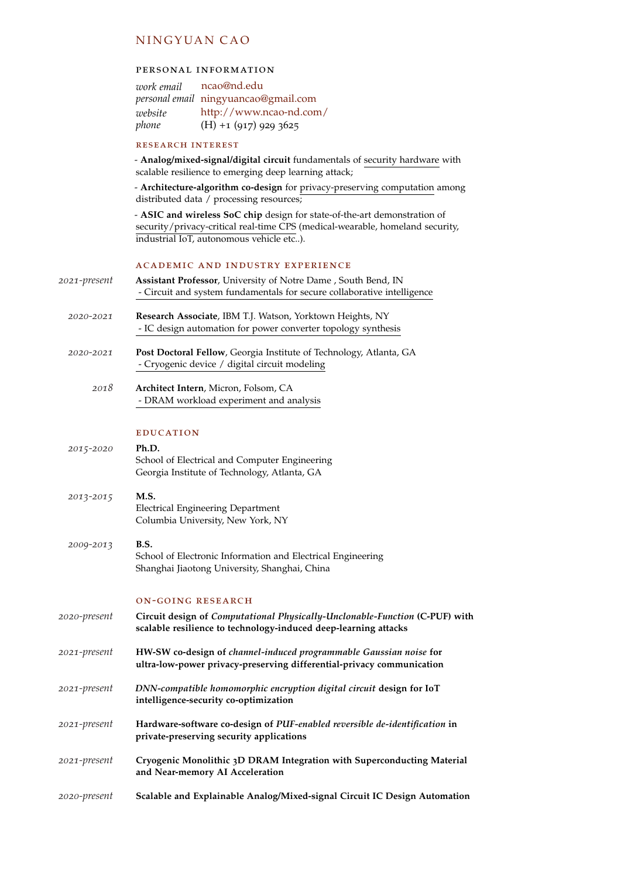# N IN GYUAN CAO

## personal information

| work email | ncao@nd.edu                          |
|------------|--------------------------------------|
|            | personal email ningyuancao@gmail.com |
| website    | http://www.ncao-nd.com/              |
| phone      | $(H) + 1$ (917) 929 3625             |

## research interest

- **Analog/mixed-signal/digital circuit** fundamentals of security hardware with scalable resilience to emerging deep learning attack;

- **Architecture-algorithm co-design** for privacy-preserving computation among distributed data / processing resources;

- **ASIC and wireless SoC chip** design for state-of-the-art demonstration of security/privacy-critical real-time CPS (medical-wearable, homeland security, industrial IoT, autonomous vehicle etc..).

### academic and industry experience

| 2021-present | Assistant Professor, University of Notre Dame, South Bend, IN<br>- Circuit and system fundamentals for secure collaborative intelligence       |
|--------------|------------------------------------------------------------------------------------------------------------------------------------------------|
| 2020-2021    | Research Associate, IBM T.J. Watson, Yorktown Heights, NY<br>- IC design automation for power converter topology synthesis                     |
| 2020-2021    | Post Doctoral Fellow, Georgia Institute of Technology, Atlanta, GA<br>- Cryogenic device / digital circuit modeling                            |
| 2018         | <b>Architect Intern, Micron, Folsom, CA</b><br>- DRAM workload experiment and analysis                                                         |
|              | <b>EDUCATION</b>                                                                                                                               |
| 2015-2020    | Ph.D.<br>School of Electrical and Computer Engineering<br>Georgia Institute of Technology, Atlanta, GA                                         |
| 2013-2015    | M.S.<br><b>Electrical Engineering Department</b><br>Columbia University, New York, NY                                                          |
| 2009-2013    | B.S.<br>School of Electronic Information and Electrical Engineering<br>Shanghai Jiaotong University, Shanghai, China                           |
|              | <b>ON-GOING RESEARCH</b>                                                                                                                       |
| 2020-present | Circuit design of Computational Physically-Unclonable-Function (C-PUF) with<br>scalable resilience to technology-induced deep-learning attacks |
| 2021-present | HW-SW co-design of channel-induced programmable Gaussian noise for<br>ultra-low-power privacy-preserving differential-privacy communication    |
| 2021-present | DNN-compatible homomorphic encryption digital circuit design for IoT<br>intelligence-security co-optimization                                  |
| 2021-present | Hardware-software co-design of PUF-enabled reversible de-identification in<br>private-preserving security applications                         |
| 2021-present | Cryogenic Monolithic 3D DRAM Integration with Superconducting Material<br>and Near-memory AI Acceleration                                      |
| 2020-present | Scalable and Explainable Analog/Mixed-signal Circuit IC Design Automation                                                                      |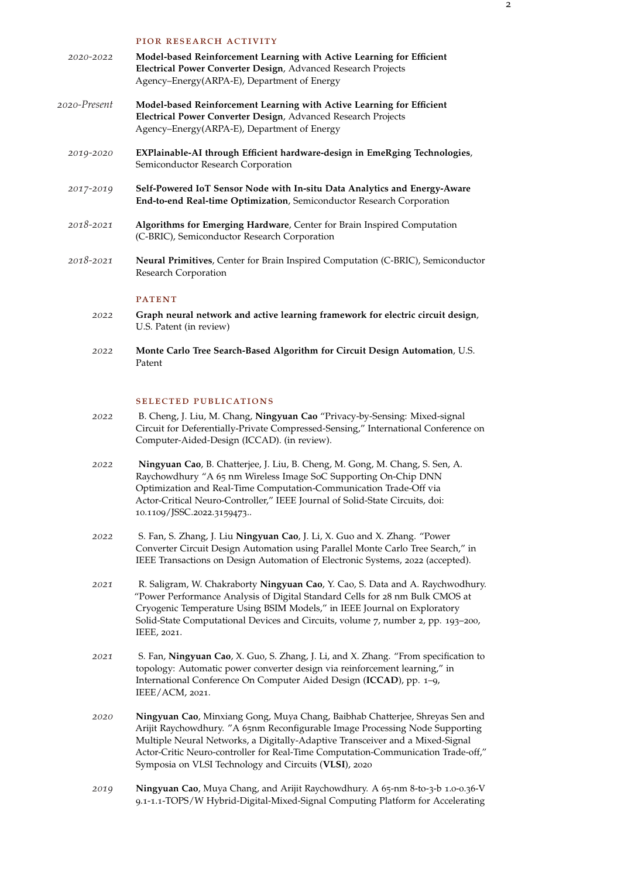|               | PIOR RESEARCH ACTIVITY                                                                                                                                                                |
|---------------|---------------------------------------------------------------------------------------------------------------------------------------------------------------------------------------|
| 2020-2022     | Model-based Reinforcement Learning with Active Learning for Efficient<br>Electrical Power Converter Design, Advanced Research Projects<br>Agency–Energy(ARPA-E), Department of Energy |
| 2020-Present  | Model-based Reinforcement Learning with Active Learning for Efficient<br>Electrical Power Converter Design, Advanced Research Projects<br>Agency-Energy(ARPA-E), Department of Energy |
| 2019-2020     | EXPlainable-AI through Efficient hardware-design in EmeRging Technologies,<br>Semiconductor Research Corporation                                                                      |
| 2017-2019     | Self-Powered IoT Sensor Node with In-situ Data Analytics and Energy-Aware<br>End-to-end Real-time Optimization, Semiconductor Research Corporation                                    |
| 2018-2021     | Algorithms for Emerging Hardware, Center for Brain Inspired Computation<br>(C-BRIC), Semiconductor Research Corporation                                                               |
| $2018 - 2021$ | <b>Neural Primitives, Center for Brain Inspired Computation (C-BRIC), Semiconductor</b><br>Research Corporation                                                                       |
|               | <b>PATENT</b>                                                                                                                                                                         |
| 2022          | Graph neural network and active learning framework for electric circuit design,<br>U.S. Patent (in review)                                                                            |

*2022* **Monte Carlo Tree Search-Based Algorithm for Circuit Design Automation**, U.S. Patent

## selected publications

- *2022* B. Cheng, J. Liu, M. Chang, **Ningyuan Cao** "Privacy-by-Sensing: Mixed-signal Circuit for Deferentially-Private Compressed-Sensing," International Conference on Computer-Aided-Design (ICCAD). (in review).
- *2022* **Ningyuan Cao**, B. Chatterjee, J. Liu, B. Cheng, M. Gong, M. Chang, S. Sen, A. Raychowdhury "A 65 nm Wireless Image SoC Supporting On-Chip DNN Optimization and Real-Time Computation-Communication Trade-Off via Actor-Critical Neuro-Controller," IEEE Journal of Solid-State Circuits, doi: 10.1109/JSSC.2022.3159473..
- *2022* S. Fan, S. Zhang, J. Liu **Ningyuan Cao**, J. Li, X. Guo and X. Zhang. "Power Converter Circuit Design Automation using Parallel Monte Carlo Tree Search," in IEEE Transactions on Design Automation of Electronic Systems, 2022 (accepted).
- *2021* R. Saligram, W. Chakraborty **Ningyuan Cao**, Y. Cao, S. Data and A. Raychwodhury. "Power Performance Analysis of Digital Standard Cells for 28 nm Bulk CMOS at Cryogenic Temperature Using BSIM Models," in IEEE Journal on Exploratory Solid-State Computational Devices and Circuits, volume 7, number 2, pp. 193–200, IEEE, 2021.
- *2021* S. Fan, **Ningyuan Cao**, X. Guo, S. Zhang, J. Li, and X. Zhang. "From specification to topology: Automatic power converter design via reinforcement learning," in International Conference On Computer Aided Design (**ICCAD**), pp. 1–9, IEEE/ACM, 2021.
- *2020* **Ningyuan Cao**, Minxiang Gong, Muya Chang, Baibhab Chatterjee, Shreyas Sen and Arijit Raychowdhury. "A 65nm Reconfigurable Image Processing Node Supporting Multiple Neural Networks, a Digitally-Adaptive Transceiver and a Mixed-Signal Actor-Critic Neuro-controller for Real-Time Computation-Communication Trade-off," Symposia on VLSI Technology and Circuits (**VLSI**), 2020
- *2019* **Ningyuan Cao**, Muya Chang, and Arijit Raychowdhury. A 65-nm 8-to-3-b 1.0-0.36-V 9.1-1.1-TOPS/W Hybrid-Digital-Mixed-Signal Computing Platform for Accelerating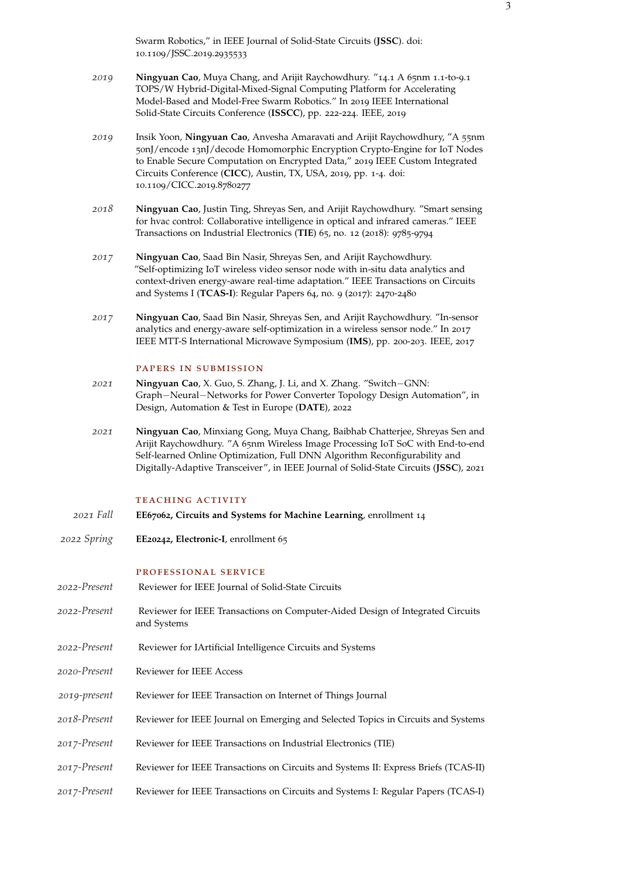Swarm Robotics," in IEEE Journal of Solid-State Circuits (**JSSC**). doi: 10.1109/JSSC.2019.2935533

- *2019* **Ningyuan Cao**, Muya Chang, and Arijit Raychowdhury. "14.1 A 65nm 1.1-to-9.1 TOPS/W Hybrid-Digital-Mixed-Signal Computing Platform for Accelerating Model-Based and Model-Free Swarm Robotics." In 2019 IEEE International Solid-State Circuits Conference (**ISSCC**), pp. 222-224. IEEE, 2019
- *2019* Insik Yoon, **Ningyuan Cao**, Anvesha Amaravati and Arijit Raychowdhury, "A 55nm 50nJ/encode 13nJ/decode Homomorphic Encryption Crypto-Engine for IoT Nodes to Enable Secure Computation on Encrypted Data," 2019 IEEE Custom Integrated Circuits Conference (**CICC**), Austin, TX, USA, 2019, pp. 1-4. doi: 10.1109/CICC.2019.8780277
- *2018* **Ningyuan Cao**, Justin Ting, Shreyas Sen, and Arijit Raychowdhury. "Smart sensing for hvac control: Collaborative intelligence in optical and infrared cameras." IEEE Transactions on Industrial Electronics (**TIE**) 65, no. 12 (2018): 9785-9794
- *2017* **Ningyuan Cao**, Saad Bin Nasir, Shreyas Sen, and Arijit Raychowdhury. "Self-optimizing IoT wireless video sensor node with in-situ data analytics and context-driven energy-aware real-time adaptation." IEEE Transactions on Circuits and Systems I (**TCAS-I**): Regular Papers 64, no. 9 (2017): 2470-2480
- *2017* **Ningyuan Cao**, Saad Bin Nasir, Shreyas Sen, and Arijit Raychowdhury. "In-sensor analytics and energy-aware self-optimization in a wireless sensor node." In 2017 IEEE MTT-S International Microwave Symposium (**IMS**), pp. 200-203. IEEE, 2017

#### papers in submission

- *2021* **Ningyuan Cao**, X. Guo, S. Zhang, J. Li, and X. Zhang. "Switch−GNN: Graph−Neural−Networks for Power Converter Topology Design Automation", in Design, Automation & Test in Europe (**DATE**), 2022
- *2021* **Ningyuan Cao**, Minxiang Gong, Muya Chang, Baibhab Chatterjee, Shreyas Sen and Arijit Raychowdhury. "A 65nm Wireless Image Processing IoT SoC with End-to-end Self-learned Online Optimization, Full DNN Algorithm Reconfigurability and Digitally-Adaptive Transceiver", in IEEE Journal of Solid-State Circuits (**JSSC**), 2021

## TEACHING ACTIVITY

- *2021 Fall* **EE67062, Circuits and Systems for Machine Learning**, enrollment 14
- *2022 Spring* **EE20242, Electronic-I**, enrollment 65

#### professional service

- *2022-Present* Reviewer for IEEE Journal of Solid-State Circuits
- *2022-Present* Reviewer for IEEE Transactions on Computer-Aided Design of Integrated Circuits and Systems
- *2022-Present* Reviewer for IArtificial Intelligence Circuits and Systems
- *2020-Present* Reviewer for IEEE Access
- *2019-present* Reviewer for IEEE Transaction on Internet of Things Journal
- *2018-Present* Reviewer for IEEE Journal on Emerging and Selected Topics in Circuits and Systems
- *2017-Present* Reviewer for IEEE Transactions on Industrial Electronics (TIE)
- *2017-Present* Reviewer for IEEE Transactions on Circuits and Systems II: Express Briefs (TCAS-II)
- *2017-Present* Reviewer for IEEE Transactions on Circuits and Systems I: Regular Papers (TCAS-I)